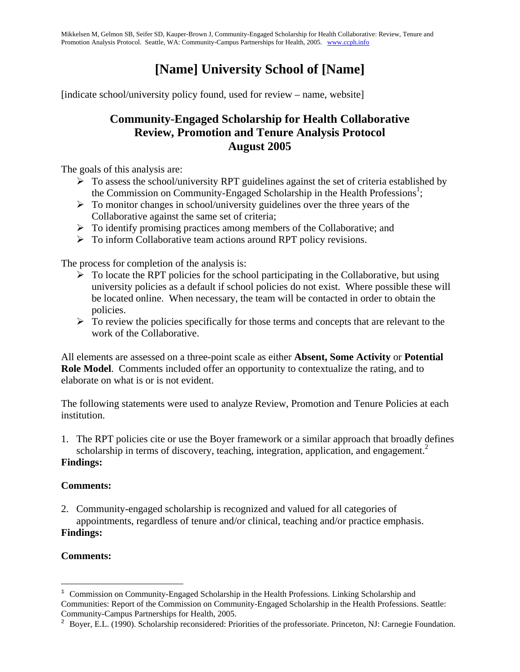Mikkelsen M, Gelmon SB, Seifer SD, Kauper-Brown J, Community-Engaged Scholarship for Health Collaborative: Review, Tenure and Promotion Analysis Protocol. Seattle, WA: Community-Campus Partnerships for Health, 2005. www.ccph.info

# **[Name] University School of [Name]**

[indicate school/university policy found, used for review – name, website]

# **Community-Engaged Scholarship for Health Collaborative Review, Promotion and Tenure Analysis Protocol August 2005**

The goals of this analysis are:

- $\triangleright$  To assess the school/university RPT guidelines against the set of criteria established by the Commission on Community-Engaged Scholarship in the Health Professions<sup>1</sup>;
- $\triangleright$  To monitor changes in school/university guidelines over the three years of the Collaborative against the same set of criteria;
- $\triangleright$  To identify promising practices among members of the Collaborative; and
- $\triangleright$  To inform Collaborative team actions around RPT policy revisions.

The process for completion of the analysis is:

- $\triangleright$  To locate the RPT policies for the school participating in the Collaborative, but using university policies as a default if school policies do not exist. Where possible these will be located online. When necessary, the team will be contacted in order to obtain the policies.
- $\triangleright$  To review the policies specifically for those terms and concepts that are relevant to the work of the Collaborative.

All elements are assessed on a three-point scale as either **Absent, Some Activity** or **Potential Role Model**. Comments included offer an opportunity to contextualize the rating, and to elaborate on what is or is not evident.

The following statements were used to analyze Review, Promotion and Tenure Policies at each institution.

1. The RPT policies cite or use the Boyer framework or a similar approach that broadly defines scholarship in terms of discovery, teaching, integration, application, and engagement.<sup>2</sup>

#### **Findings:**

#### **Comments:**

2. Community-engaged scholarship is recognized and valued for all categories of appointments, regardless of tenure and/or clinical, teaching and/or practice emphasis. **Findings:**

#### **Comments:**

1

 $1$  Commission on Community-Engaged Scholarship in the Health Professions. Linking Scholarship and Communities: Report of the Commission on Community-Engaged Scholarship in the Health Professions. Seattle: Community-Campus Partnerships for Health, 2005.

<sup>&</sup>lt;sup>2</sup> Boyer, E.L. (1990). Scholarship reconsidered: Priorities of the professoriate. Princeton, NJ: Carnegie Foundation.